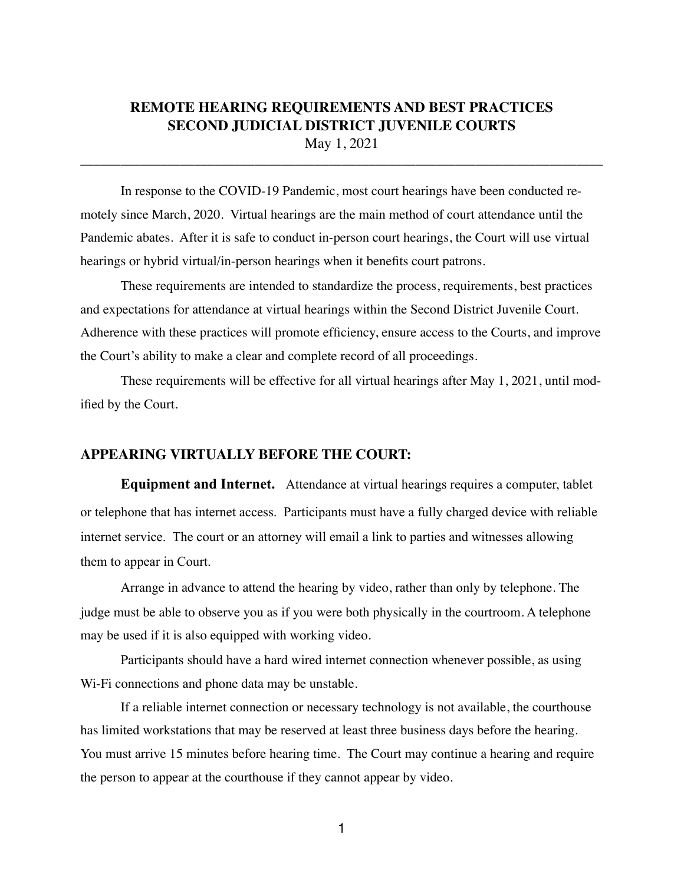## **REMOTE HEARING REQUIREMENTS AND BEST PRACTICES SECOND JUDICIAL DISTRICT JUVENILE COURTS** May 1, 2021

\_\_\_\_\_\_\_\_\_\_\_\_\_\_\_\_\_\_\_\_\_\_\_\_\_\_\_\_\_\_\_\_\_\_\_\_\_\_\_\_\_\_\_\_\_\_\_\_\_\_\_\_\_\_\_\_\_\_\_\_\_\_\_\_\_\_\_\_\_\_\_\_\_\_\_\_\_\_

In response to the COVID-19 Pandemic, most court hearings have been conducted remotely since March, 2020. Virtual hearings are the main method of court attendance until the Pandemic abates. After it is safe to conduct in-person court hearings, the Court will use virtual hearings or hybrid virtual/in-person hearings when it benefits court patrons.

These requirements are intended to standardize the process, requirements, best practices and expectations for attendance at virtual hearings within the Second District Juvenile Court. Adherence with these practices will promote efficiency, ensure access to the Courts, and improve the Court's ability to make a clear and complete record of all proceedings.

These requirements will be effective for all virtual hearings after May 1, 2021, until modified by the Court.

## **APPEARING VIRTUALLY BEFORE THE COURT:**

**Equipment and Internet.** Attendance at virtual hearings requires a computer, tablet or telephone that has internet access. Participants must have a fully charged device with reliable internet service. The court or an attorney will email a link to parties and witnesses allowing them to appear in Court.

Arrange in advance to attend the hearing by video, rather than only by telephone. The judge must be able to observe you as if you were both physically in the courtroom. A telephone may be used if it is also equipped with working video.

Participants should have a hard wired internet connection whenever possible, as using Wi-Fi connections and phone data may be unstable.

If a reliable internet connection or necessary technology is not available, the courthouse has limited workstations that may be reserved at least three business days before the hearing. You must arrive 15 minutes before hearing time. The Court may continue a hearing and require the person to appear at the courthouse if they cannot appear by video.

1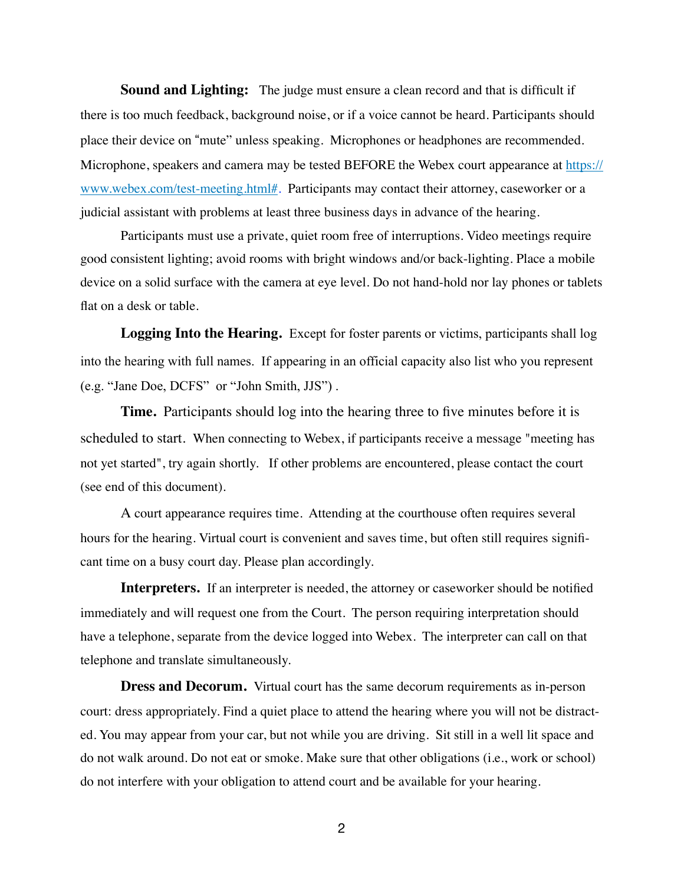**Sound and Lighting:** The judge must ensure a clean record and that is difficult if there is too much feedback, background noise, or if a voice cannot be heard. Participants should place their device on "mute" unless speaking. Microphones or headphones are recommended. Microphone, speakers and camera may be tested BEFORE the Webex court appearance at [https://](https://www.webex.com/test-meeting.html%23) [www.webex.com/test-meeting.html#](https://www.webex.com/test-meeting.html%23)*.* Participants may contact their attorney, caseworker or a judicial assistant with problems at least three business days in advance of the hearing.

Participants must use a private, quiet room free of interruptions. Video meetings require good consistent lighting; avoid rooms with bright windows and/or back-lighting. Place a mobile device on a solid surface with the camera at eye level. Do not hand-hold nor lay phones or tablets flat on a desk or table.

**Logging Into the Hearing.** Except for foster parents or victims, participants shall log into the hearing with full names. If appearing in an official capacity also list who you represent (e.g. "Jane Doe, DCFS" or "John Smith, JJS") .

**Time.** Participants should log into the hearing three to five minutes before it is scheduled to start. When connecting to Webex, if participants receive a message "meeting has not yet started", try again shortly. If other problems are encountered, please contact the court (see end of this document).

A court appearance requires time. Attending at the courthouse often requires several hours for the hearing. Virtual court is convenient and saves time, but often still requires signifcant time on a busy court day. Please plan accordingly.

**Interpreters.** If an interpreter is needed, the attorney or caseworker should be notified immediately and will request one from the Court. The person requiring interpretation should have a telephone, separate from the device logged into Webex. The interpreter can call on that telephone and translate simultaneously.

**Dress and Decorum.** Virtual court has the same decorum requirements as in-person court: dress appropriately. Find a quiet place to attend the hearing where you will not be distracted. You may appear from your car, but not while you are driving. Sit still in a well lit space and do not walk around. Do not eat or smoke. Make sure that other obligations (i.e., work or school) do not interfere with your obligation to attend court and be available for your hearing.

2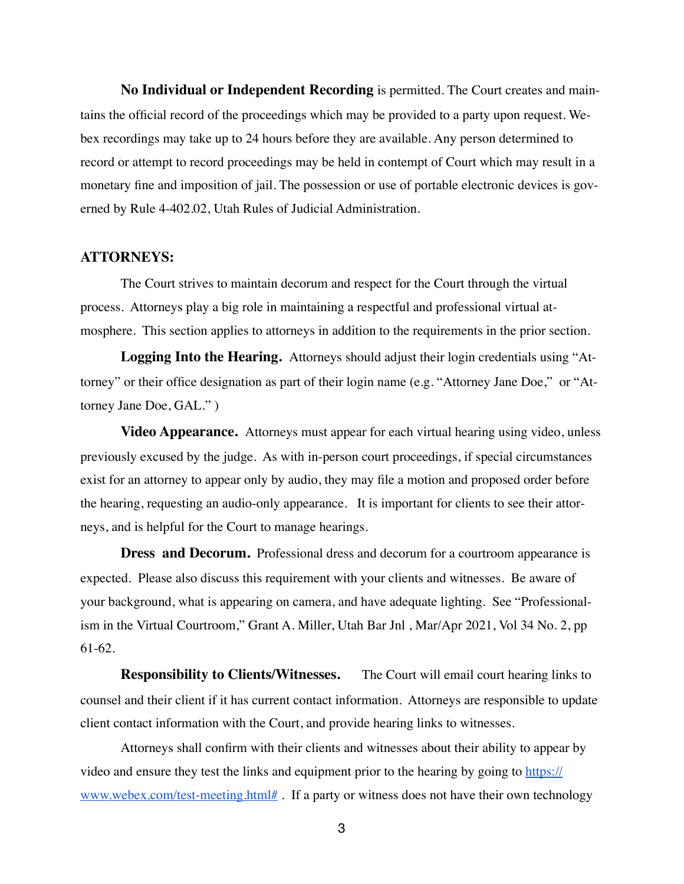**No Individual or Independent Recording** is permitted. The Court creates and maintains the official record of the proceedings which may be provided to a party upon request. Webex recordings may take up to 24 hours before they are available. Any person determined to record or attempt to record proceedings may be held in contempt of Court which may result in a monetary fine and imposition of jail. The possession or use of portable electronic devices is governed by Rule 4-402.02, Utah Rules of Judicial Administration.

## **ATTORNEYS:**

The Court strives to maintain decorum and respect for the Court through the virtual process. Attorneys play a big role in maintaining a respectful and professional virtual atmosphere. This section applies to attorneys in addition to the requirements in the prior section.

**Logging Into the Hearing.** Attorneys should adjust their login credentials using "Attorney" or their office designation as part of their login name (e.g. "Attorney Jane Doe," or "Attorney Jane Doe, GAL." )

**Video Appearance.** Attorneys must appear for each virtual hearing using video, unless previously excused by the judge. As with in-person court proceedings, if special circumstances exist for an attorney to appear only by audio, they may file a motion and proposed order before the hearing, requesting an audio-only appearance. It is important for clients to see their attorneys, and is helpful for the Court to manage hearings.

**Dress and Decorum.** Professional dress and decorum for a courtroom appearance is expected. Please also discuss this requirement with your clients and witnesses. Be aware of your background, what is appearing on camera, and have adequate lighting. See "Professionalism in the Virtual Courtroom," Grant A. Miller, Utah Bar Jnl , Mar/Apr 2021, Vol 34 No. 2, pp 61-62.

**Responsibility to Clients/Witnesses.** The Court will email court hearing links to counsel and their client if it has current contact information. Attorneys are responsible to update client contact information with the Court, and provide hearing links to witnesses.

Attorneys shall confirm with their clients and witnesses about their ability to appear by video and ensure they test the links and equipment prior to the hearing by going to [https://](https://www.webex.com/test-meeting.html%23) [www.webex.com/test-meeting.html#](https://www.webex.com/test-meeting.html%23) . If a party or witness does not have their own technology

3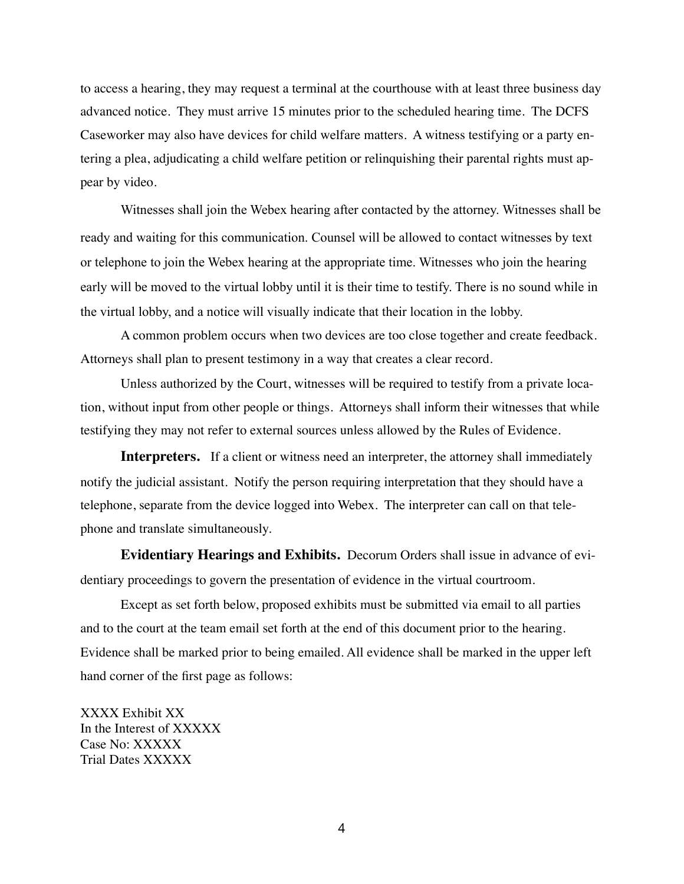to access a hearing, they may request a terminal at the courthouse with at least three business day advanced notice. They must arrive 15 minutes prior to the scheduled hearing time. The DCFS Caseworker may also have devices for child welfare matters. A witness testifying or a party entering a plea, adjudicating a child welfare petition or relinquishing their parental rights must appear by video.

Witnesses shall join the Webex hearing after contacted by the attorney. Witnesses shall be ready and waiting for this communication. Counsel will be allowed to contact witnesses by text or telephone to join the Webex hearing at the appropriate time. Witnesses who join the hearing early will be moved to the virtual lobby until it is their time to testify. There is no sound while in the virtual lobby, and a notice will visually indicate that their location in the lobby.

A common problem occurs when two devices are too close together and create feedback. Attorneys shall plan to present testimony in a way that creates a clear record.

Unless authorized by the Court, witnesses will be required to testify from a private location, without input from other people or things. Attorneys shall inform their witnesses that while testifying they may not refer to external sources unless allowed by the Rules of Evidence.

**Interpreters.** If a client or witness need an interpreter, the attorney shall immediately notify the judicial assistant. Notify the person requiring interpretation that they should have a telephone, separate from the device logged into Webex. The interpreter can call on that telephone and translate simultaneously.

**Evidentiary Hearings and Exhibits.** Decorum Orders shall issue in advance of evidentiary proceedings to govern the presentation of evidence in the virtual courtroom.

Except as set forth below, proposed exhibits must be submitted via email to all parties and to the court at the team email set forth at the end of this document prior to the hearing. Evidence shall be marked prior to being emailed. All evidence shall be marked in the upper left hand corner of the first page as follows:

XXXX Exhibit XX In the Interest of XXXXX Case No: XXXXX Trial Dates XXXXX